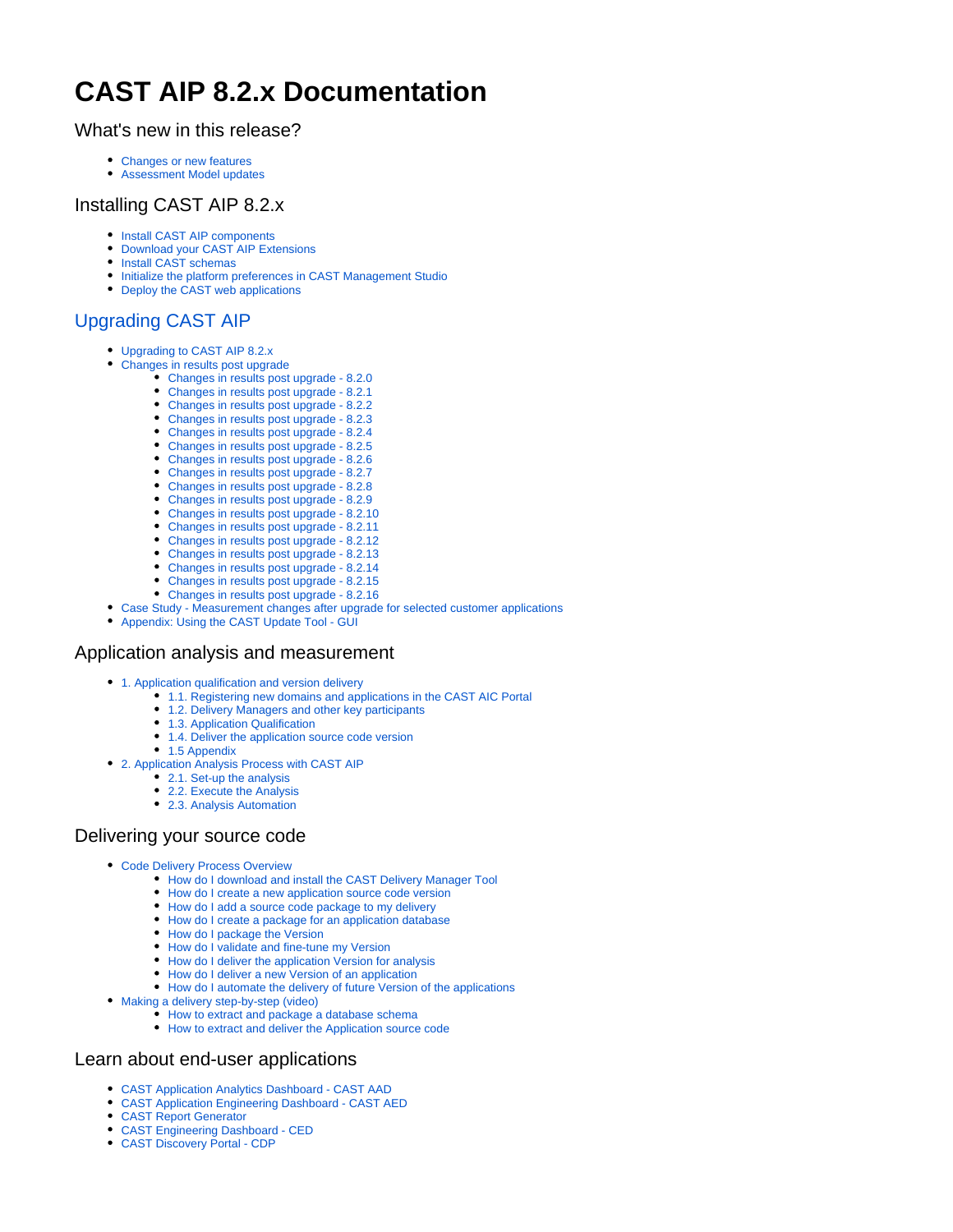# **CAST AIP 8.2.x Documentation**

#### What's new in this release?

- [Changes or new features](https://doc.castsoftware.com/display/DOC82/Changes+or+new+features)
- [Assessment Model updates](https://doc.castsoftware.com/display/DOC82/Assessment+Model+updates)

## Installing CAST AIP 8.2.x

- [Install CAST AIP components](https://doc.castsoftware.com/display/DOC82/Install+CAST+AIP+components)
- [Download your CAST AIP Extensions](https://doc.castsoftware.com/display/DOC82/Download+your+CAST+AIP+Extensions)  $\bullet$  $\bullet$
- [Install CAST schemas](https://doc.castsoftware.com/display/DOC82/Install+CAST+schemas)
- [Initialize the platform preferences in CAST Management Studio](https://doc.castsoftware.com/display/DOC82/Initialize+the+platform+preferences+in+CAST+Management+Studio)
- [Deploy the CAST web applications](https://doc.castsoftware.com/display/DOC82/Deploy+the+CAST+web+applications)

# [Upgrading CAST AIP](https://doc.castsoftware.com/display/DOC82/Upgrading+CAST+AIP)

- [Upgrading to CAST AIP 8.2.x](https://doc.castsoftware.com/display/DOC82/Upgrading+to+CAST+AIP+8.2.x)
- [Changes in results post upgrade](https://doc.castsoftware.com/display/DOC82/Changes+in+results+post+upgrade)
	- [Changes in results post upgrade 8.2.0](https://doc.castsoftware.com/display/DOC82/Changes+in+results+post+upgrade+-+8.2.0)
	- [Changes in results post upgrade 8.2.1](https://doc.castsoftware.com/display/DOC82/Changes+in+results+post+upgrade+-+8.2.1)
	- [Changes in results post upgrade 8.2.2](https://doc.castsoftware.com/display/DOC82/Changes+in+results+post+upgrade+-+8.2.2)
	- [Changes in results post upgrade 8.2.3](https://doc.castsoftware.com/display/DOC82/Changes+in+results+post+upgrade+-+8.2.3)
	- [Changes in results post upgrade 8.2.4](https://doc.castsoftware.com/display/DOC82/Changes+in+results+post+upgrade+-+8.2.4)
	- [Changes in results post upgrade 8.2.5](https://doc.castsoftware.com/display/DOC82/Changes+in+results+post+upgrade+-+8.2.5)
	- [Changes in results post upgrade 8.2.6](https://doc.castsoftware.com/display/DOC82/Changes+in+results+post+upgrade+-+8.2.6)
	- [Changes in results post upgrade 8.2.7](https://doc.castsoftware.com/display/DOC82/Changes+in+results+post+upgrade+-+8.2.7)
	- [Changes in results post upgrade 8.2.8](https://doc.castsoftware.com/display/DOC82/Changes+in+results+post+upgrade+-+8.2.8)
	- [Changes in results post upgrade 8.2.9](https://doc.castsoftware.com/display/DOC82/Changes+in+results+post+upgrade+-+8.2.9)
	- [Changes in results post upgrade 8.2.10](https://doc.castsoftware.com/display/DOC82/Changes+in+results+post+upgrade+-+8.2.10)
	- [Changes in results post upgrade 8.2.11](https://doc.castsoftware.com/display/DOC82/Changes+in+results+post+upgrade+-+8.2.11)
	- [Changes in results post upgrade 8.2.12](https://doc.castsoftware.com/display/DOC82/Changes+in+results+post+upgrade+-+8.2.12)
	- [Changes in results post upgrade 8.2.13](https://doc.castsoftware.com/display/DOC82/Changes+in+results+post+upgrade+-+8.2.13) • [Changes in results post upgrade - 8.2.14](https://doc.castsoftware.com/display/DOC82/Changes+in+results+post+upgrade+-+8.2.14)
	- [Changes in results post upgrade 8.2.15](https://doc.castsoftware.com/display/DOC82/Changes+in+results+post+upgrade+-+8.2.15)
	- [Changes in results post upgrade 8.2.16](https://doc.castsoftware.com/display/DOC82/Changes+in+results+post+upgrade+-+8.2.16)
- [Case Study Measurement changes after upgrade for selected customer applications](https://doc.castsoftware.com/display/DOC82/Case+Study+-+Measurement+changes+after+upgrade+for+selected+customer+applications)
- [Appendix: Using the CAST Update Tool GUI](https://doc.castsoftware.com/display/DOC82/Appendix%3A+Using+the+CAST+Update+Tool+-+GUI)

## Application analysis and measurement

- [1. Application qualification and version delivery](https://doc.castsoftware.com/display/DOC82/1.+Application+qualification+and+version+delivery)
	- [1.1. Registering new domains and applications in the CAST AIC Portal](https://doc.castsoftware.com/display/DOC82/1.1.+Registering+new+domains+and+applications+in+the+CAST+AIC+Portal)
	- [1.2. Delivery Managers and other key participants](https://doc.castsoftware.com/display/DOC82/1.2.+Delivery+Managers+and+other+key+participants)
	- [1.3. Application Qualification](https://doc.castsoftware.com/display/DOC82/1.3.+Application+Qualification)
	- [1.4. Deliver the application source code version](https://doc.castsoftware.com/display/DOC82/1.4.+Deliver+the+application+source+code+version)
	- [1.5 Appendix](https://doc.castsoftware.com/display/DOC82/1.5+Appendix)
- [2. Application Analysis Process with CAST AIP](https://doc.castsoftware.com/display/DOC82/2.+Application+Analysis+Process+with+CAST+AIP)
	- [2.1. Set-up the analysis](https://doc.castsoftware.com/display/DOC82/2.1.+Set-up+the+analysis)
	- [2.2. Execute the Analysis](https://doc.castsoftware.com/display/DOC82/2.2.+Execute+the+Analysis)
	- [2.3. Analysis Automation](https://doc.castsoftware.com/display/DOC82/2.3.+Analysis+Automation)

## Delivering your source code

- [Code Delivery Process Overview](https://doc.castsoftware.com/display/DOC82/Code+Delivery+Process+Overview)
	- [How do I download and install the CAST Delivery Manager Tool](https://doc.castsoftware.com/display/DOC82/How+do+I+download+and+install+the+CAST+Delivery+Manager+Tool)
	- [How do I create a new application source code version](https://doc.castsoftware.com/display/DOC82/How+do+I+create+a+new+application+source+code+version)
	- [How do I add a source code package to my delivery](https://doc.castsoftware.com/display/DOC82/How+do+I+add+a+source+code+package+to+my+delivery)
	- [How do I create a package for an application database](https://doc.castsoftware.com/display/DOC82/How+do+I+create+a+package+for+an+application+database)
	- [How do I package the Version](https://doc.castsoftware.com/display/DOC82/How+do+I+package+the+Version)
	- [How do I validate and fine-tune my Version](https://doc.castsoftware.com/display/DOC82/How+do+I+validate+and+fine-tune+my+Version)
	- [How do I deliver the application Version for analysis](https://doc.castsoftware.com/display/DOC82/How+do+I+deliver+the+application+Version+for+analysis)
	- [How do I deliver a new Version of an application](https://doc.castsoftware.com/display/DOC82/How+do+I+deliver+a+new+Version+of+an+application)
	- [How do I automate the delivery of future Version of the applications](https://doc.castsoftware.com/display/DOC82/How+do+I+automate+the+delivery+of+future+Version+of+the+applications)
- [Making a delivery step-by-step \(video\)](https://doc.castsoftware.com/pages/viewpage.action?pageId=81559763)
	- [How to extract and package a database schema](https://doc.castsoftware.com/display/DOC82/How+to+extract+and+package+a+database+schema)
	- [How to extract and deliver the Application source code](https://doc.castsoftware.com/display/DOC82/How+to+extract+and+deliver+the+Application+source+code)

## Learn about end-user applications

- [CAST Application Analytics Dashboard CAST AAD](https://doc.castsoftware.com/display/DOC82/CAST+Application+Analytics+Dashboard+-+CAST+AAD)
- [CAST Application Engineering Dashboard CAST AED](https://doc.castsoftware.com/display/DOC82/CAST+Application+Engineering+Dashboard+-+CAST+AED)
- [CAST Report Generator](https://doc.castsoftware.com/display/DOC82/CAST+Report+Generator)
- [CAST Engineering Dashboard CED](https://doc.castsoftware.com/display/DOC82/CAST+Engineering+Dashboard+-+CED)
- [CAST Discovery Portal CDP](https://doc.castsoftware.com/display/DOC82/CAST+Discovery+Portal+-+CDP)